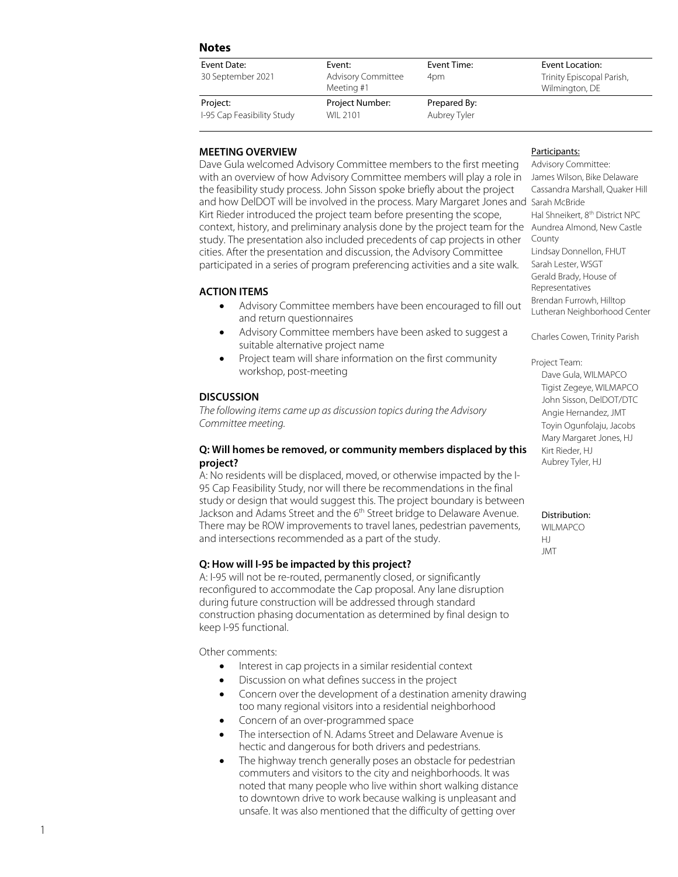# **Notes**

| Event Date:                            | Event:                                  | Event Time:                  | Event Location:                             |
|----------------------------------------|-----------------------------------------|------------------------------|---------------------------------------------|
| 30 September 2021                      | <b>Advisory Committee</b><br>Meeting #1 | 4pm                          | Trinity Episcopal Parish,<br>Wilmington, DE |
| Project:<br>I-95 Cap Feasibility Study | Project Number:<br>WIL 2101             | Prepared By:<br>Aubrey Tyler |                                             |

# **MEETING OVERVIEW**

Dave Gula welcomed Advisory Committee members to the first meeting with an overview of how Advisory Committee members will play a role in the feasibility study process. John Sisson spoke briefly about the project and how DelDOT will be involved in the process. Mary Margaret Jones and Sarah McBride Kirt Rieder introduced the project team before presenting the scope, context, history, and preliminary analysis done by the project team for the Aundrea Alm ond, New Castle study. The presentation also included precedents of cap projects in other cities. After the presentation and discussion, the Advisory Committee participated in a series of program preferencing activities and a site walk.

## **ACTION ITEMS**

- Advisory Committee members have been encouraged to fill out and return questionnaires
- Advisory Committee members have been asked to suggest a suitable alternative project name
- Project team will share information on the first community workshop, post -meeting

## **DISCUSSION**

*The following items came up as discussion topics during the Advisory Committee meeting.* 

## **Q: Will homes be removed, or community members displaced by this project?**

A: No residents will be displaced, moved, or otherwise impacted by the I - 95 Cap Feasibility Study, nor will there be recommendations in the final study or design that would suggest this. The project boundary is between Jackson and Adams Street and the 6<sup>th</sup> Street bridge to Delaware Avenue. There may be ROW improvements to travel lanes, pedestrian pavements, and intersections recommended as a part of the study.

# **Q: How will I -95 be impacted by this project?**

A: I -95 will not be re -routed, permanently closed, or significantly reconfigured to accommodate the Cap proposal. Any lane disruption during future construction will be addressed through standard construction phasing documentation as determined by final design to keep I -95 functional .

Other comments:

- Interest in cap projects in a similar residential context
- Discussion on what defines success in the project
- Concern over the development of a destination amenity drawing too many regional visitors into a residential neighborhood
- Concern of an over-programmed space
- The intersection of N. Adams Street and Delaware Avenue is hectic and dangerous for both driver s and pedestrian s.
- The highway trench generally poses an obstacle for pedestrian commuters and visitors to the city and neighborhoods. It was noted that many people who live within short walking distance to downtown drive to work because walking is unpleasant and unsafe. It was also mentioned that the difficulty of getting over

### Participants:

Advisory Committee: James Wilson, Bike Delaware Cassandra Marshall, Quaker Hill Hal Shneikert, 8<sup>th</sup> District NPC County Lindsay Donnellon, FHUT Sarah Lester, WSGT Gerald Brady, House of Representatives Brendan Furrowh, Hilltop Lutheran Neighborhood Center

Charles Cowen, Trinity Parish

Project Team: Dave Gul a, WILMAPCO Tigist Zegeye, WILMAPCO John Sisson, DelDOT/DTC Angie Hern and ez, JMT Toyin Ogunfolaju, Jacobs Mary Margaret Jones, HJ Kirt Rieder, HJ Aubrey Tyler, HJ

#### Distribution:

WII MAPCO HJ JMT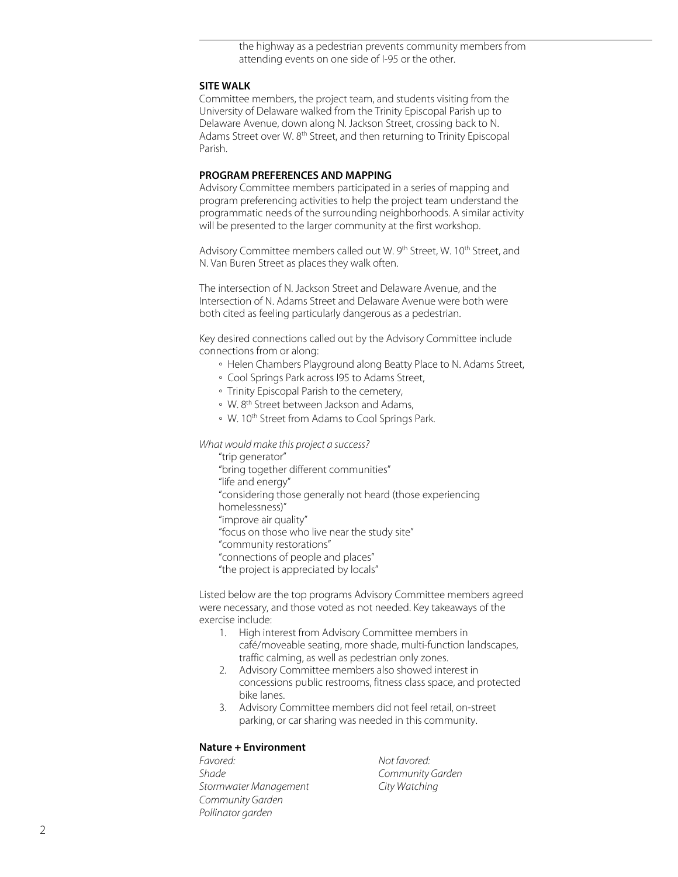the highway as a pedestrian prevents community members from attending events on one side of I-95 or the other.

# **SITE WALK**

Committee members, the project team, and students visiting from the University of Delaware walked from the Trinity Episcopal Parish up to Delaware Avenue, down along N. Jackson Street, crossing back to N. Adams Street over W. 8<sup>th</sup> Street, and then returning to Trinity Episcopal Parish.

### **PROGRAM PREFERENCES AND MAPPING**

Advisory Committee members participated in a series of mapping and program preferencing activities to help the project team understand the programmatic needs of the surrounding neighborhoods. A similar activity will be presented to the larger community at the first workshop.

Advisory Committee members called out W. 9<sup>th</sup> Street, W. 10<sup>th</sup> Street, and N. Van Buren Street as places they walk often.

The intersection of N. Jackson Street and Delaware Avenue, and the Intersection of N. Adams Street and Delaware Avenue were both were both cited as feeling particularly dangerous as a pedestrian.

Key desired connections called out by the Advisory Committee include connections from or along:

- Helen Chambers Playground along Beatty Place to N. Adams Street,
- Cool Springs Park across I95 to Adams Street,
- Trinity Episcopal Parish to the cemetery,
- W. 8th Street between Jackson and Adams,
- W. 10th Street from Adams to Cool Springs Park.

*What would make this project a success?*

"trip generator" "bring together different communities" "life and energy" "considering those generally not heard (those experiencing homelessness)" "improve air quality" "focus on those who live near the study site" "community restorations" "connections of people and places" "the project is appreciated by locals"

Listed below are the top programs Advisory Committee members agreed were necessary, and those voted as not needed. Key takeaways of the exercise include:

- 1. High interest from Advisory Committee members in café/moveable seating, more shade, multi-function landscapes, traffic calming, as well as pedestrian only zones.
- 2. Advisory Committee members also showed interest in concessions public restrooms, fitness class space, and protected bike lanes.
- 3. Advisory Committee members did not feel retail, on-street parking, or car sharing was needed in this community.

# **Nature + Environment**

*Favored: Not favored: Shade Community Garden Stormwater Management City Watching Community Garden Pollinator garden*